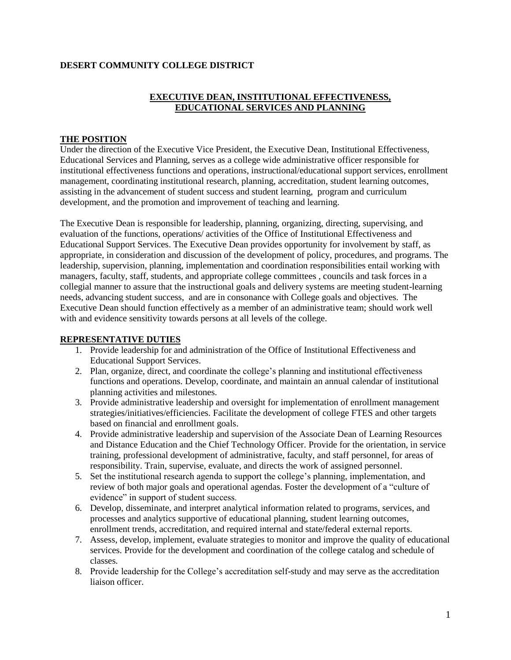#### **DESERT COMMUNITY COLLEGE DISTRICT**

# **EXECUTIVE DEAN, INSTITUTIONAL EFFECTIVENESS, EDUCATIONAL SERVICES AND PLANNING**

#### **THE POSITION**

Under the direction of the Executive Vice President, the Executive Dean, Institutional Effectiveness, Educational Services and Planning, serves as a college wide administrative officer responsible for institutional effectiveness functions and operations, instructional/educational support services, enrollment management, coordinating institutional research, planning, accreditation, student learning outcomes, assisting in the advancement of student success and student learning, program and curriculum development, and the promotion and improvement of teaching and learning.

The Executive Dean is responsible for leadership, planning, organizing, directing, supervising, and evaluation of the functions, operations/ activities of the Office of Institutional Effectiveness and Educational Support Services. The Executive Dean provides opportunity for involvement by staff, as appropriate, in consideration and discussion of the development of policy, procedures, and programs. The leadership, supervision, planning, implementation and coordination responsibilities entail working with managers, faculty, staff, students, and appropriate college committees , councils and task forces in a collegial manner to assure that the instructional goals and delivery systems are meeting student-learning needs, advancing student success, and are in consonance with College goals and objectives. The Executive Dean should function effectively as a member of an administrative team; should work well with and evidence sensitivity towards persons at all levels of the college.

## **REPRESENTATIVE DUTIES**

- 1. Provide leadership for and administration of the Office of Institutional Effectiveness and Educational Support Services.
- 2. Plan, organize, direct, and coordinate the college's planning and institutional effectiveness functions and operations. Develop, coordinate, and maintain an annual calendar of institutional planning activities and milestones.
- 3. Provide administrative leadership and oversight for implementation of enrollment management strategies/initiatives/efficiencies. Facilitate the development of college FTES and other targets based on financial and enrollment goals.
- 4. Provide administrative leadership and supervision of the Associate Dean of Learning Resources and Distance Education and the Chief Technology Officer. Provide for the orientation, in service training, professional development of administrative, faculty, and staff personnel, for areas of responsibility. Train, supervise, evaluate, and directs the work of assigned personnel.
- 5. Set the institutional research agenda to support the college's planning, implementation, and review of both major goals and operational agendas. Foster the development of a "culture of evidence" in support of student success.
- 6. Develop, disseminate, and interpret analytical information related to programs, services, and processes and analytics supportive of educational planning, student learning outcomes, enrollment trends, accreditation, and required internal and state/federal external reports.
- 7. Assess, develop, implement, evaluate strategies to monitor and improve the quality of educational services. Provide for the development and coordination of the college catalog and schedule of classes.
- 8. Provide leadership for the College's accreditation self-study and may serve as the accreditation liaison officer.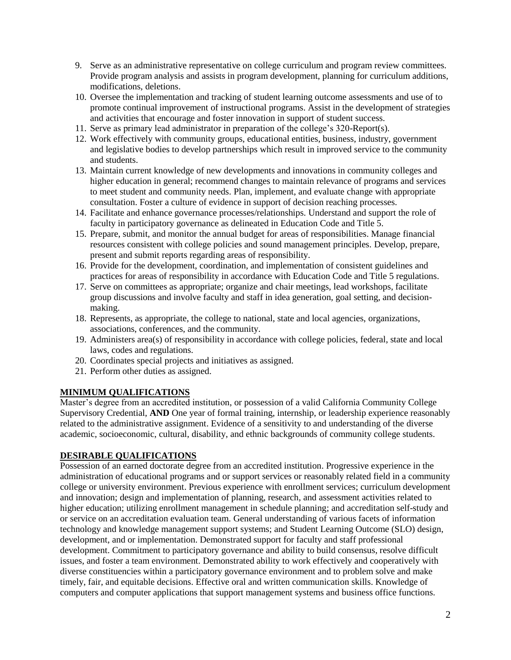- 9. Serve as an administrative representative on college curriculum and program review committees. Provide program analysis and assists in program development, planning for curriculum additions, modifications, deletions.
- 10. Oversee the implementation and tracking of student learning outcome assessments and use of to promote continual improvement of instructional programs. Assist in the development of strategies and activities that encourage and foster innovation in support of student success.
- 11. Serve as primary lead administrator in preparation of the college's 320-Report(s).
- 12. Work effectively with community groups, educational entities, business, industry, government and legislative bodies to develop partnerships which result in improved service to the community and students.
- 13. Maintain current knowledge of new developments and innovations in community colleges and higher education in general; recommend changes to maintain relevance of programs and services to meet student and community needs. Plan, implement, and evaluate change with appropriate consultation. Foster a culture of evidence in support of decision reaching processes.
- 14. Facilitate and enhance governance processes/relationships. Understand and support the role of faculty in participatory governance as delineated in Education Code and Title 5.
- 15. Prepare, submit, and monitor the annual budget for areas of responsibilities. Manage financial resources consistent with college policies and sound management principles. Develop, prepare, present and submit reports regarding areas of responsibility.
- 16. Provide for the development, coordination, and implementation of consistent guidelines and practices for areas of responsibility in accordance with Education Code and Title 5 regulations.
- 17. Serve on committees as appropriate; organize and chair meetings, lead workshops, facilitate group discussions and involve faculty and staff in idea generation, goal setting, and decisionmaking.
- 18. Represents, as appropriate, the college to national, state and local agencies, organizations, associations, conferences, and the community.
- 19. Administers area(s) of responsibility in accordance with college policies, federal, state and local laws, codes and regulations.
- 20. Coordinates special projects and initiatives as assigned.
- 21. Perform other duties as assigned.

## **MINIMUM QUALIFICATIONS**

Master's degree from an accredited institution, or possession of a valid California Community College Supervisory Credential, **AND** One year of formal training, internship, or leadership experience reasonably related to the administrative assignment. Evidence of a sensitivity to and understanding of the diverse academic, socioeconomic, cultural, disability, and ethnic backgrounds of community college students.

## **DESIRABLE QUALIFICATIONS**

Possession of an earned doctorate degree from an accredited institution. Progressive experience in the administration of educational programs and or support services or reasonably related field in a community college or university environment. Previous experience with enrollment services; curriculum development and innovation; design and implementation of planning, research, and assessment activities related to higher education; utilizing enrollment management in schedule planning; and accreditation self-study and or service on an accreditation evaluation team. General understanding of various facets of information technology and knowledge management support systems; and Student Learning Outcome (SLO) design, development, and or implementation. Demonstrated support for faculty and staff professional development. Commitment to participatory governance and ability to build consensus, resolve difficult issues, and foster a team environment. Demonstrated ability to work effectively and cooperatively with diverse constituencies within a participatory governance environment and to problem solve and make timely, fair, and equitable decisions. Effective oral and written communication skills. Knowledge of computers and computer applications that support management systems and business office functions.